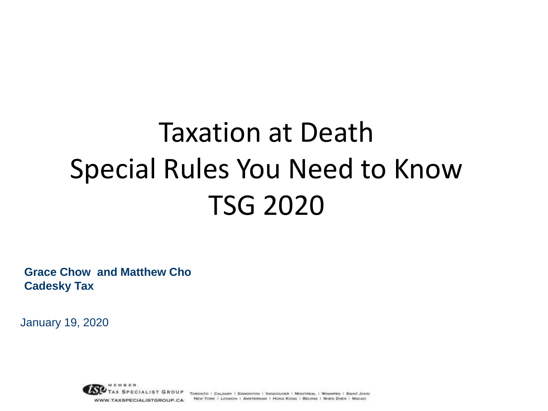#### Taxation at Death Special Rules You Need to Know TSG 2020

**Grace Chow and Matthew Cho Cadesky Tax**

January 19, 2020

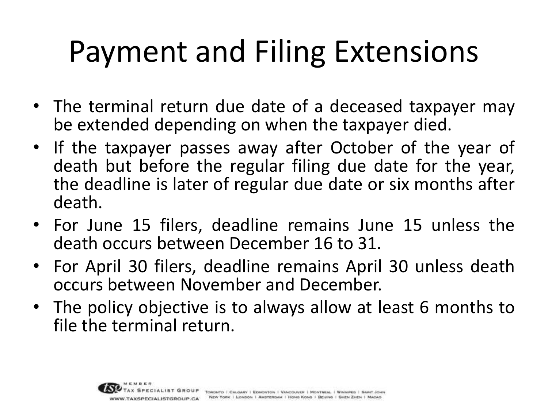## Payment and Filing Extensions

- The terminal return due date of a deceased taxpayer may be extended depending on when the taxpayer died.
- If the taxpayer passes away after October of the year of death but before the regular filing due date for the year, the deadline is later of regular due date or six months after death.
- For June 15 filers, deadline remains June 15 unless the death occurs between December 16 to 31.
- For April 30 filers, deadline remains April 30 unless death occurs between November and December.
- The policy objective is to always allow at least 6 months to file the terminal return.

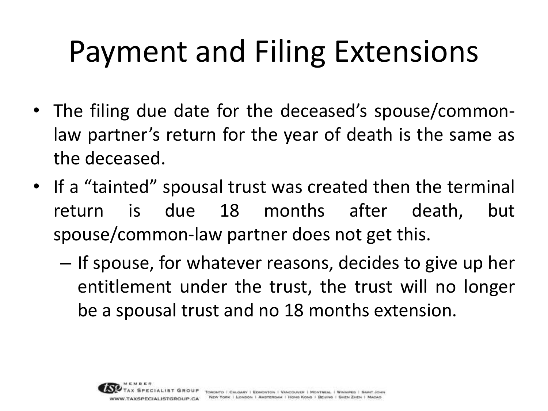## Payment and Filing Extensions

- The filing due date for the deceased's spouse/commonlaw partner's return for the year of death is the same as the deceased.
- If a "tainted" spousal trust was created then the terminal return is due 18 months after death, but spouse/common-law partner does not get this.
	- If spouse, for whatever reasons, decides to give up her entitlement under the trust, the trust will no longer be a spousal trust and no 18 months extension.

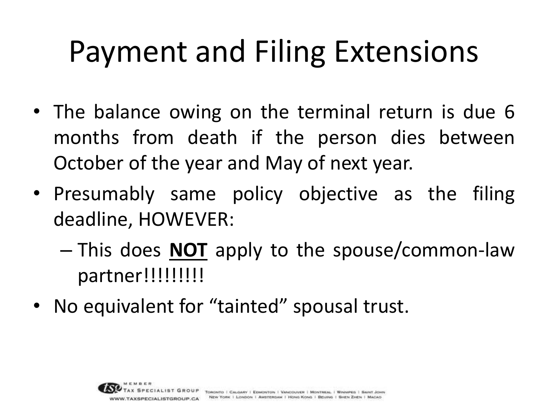## Payment and Filing Extensions

- The balance owing on the terminal return is due 6 months from death if the person dies between October of the year and May of next year.
- Presumably same policy objective as the filing deadline, HOWEVER:
	- This does **NOT** apply to the spouse/common-law partner!!!!!!!!!!
- No equivalent for "tainted" spousal trust.

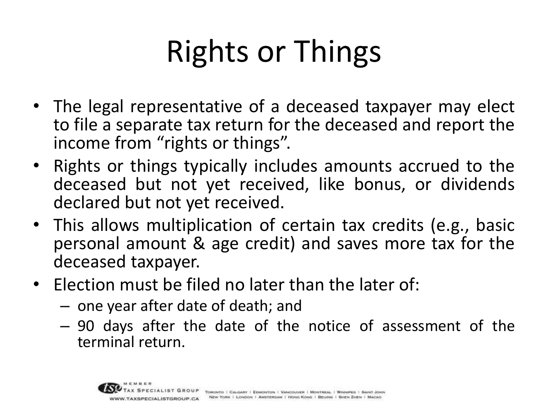# Rights or Things

- The legal representative of a deceased taxpayer may elect to file a separate tax return for the deceased and report the income from "rights or things".
- Rights or things typically includes amounts accrued to the deceased but not yet received, like bonus, or dividends declared but not yet received.
- This allows multiplication of certain tax credits (e.g., basic personal amount & age credit) and saves more tax for the deceased taxpayer.
- Election must be filed no later than the later of:
	- one year after date of death; and
	- 90 days after the date of the notice of assessment of the terminal return.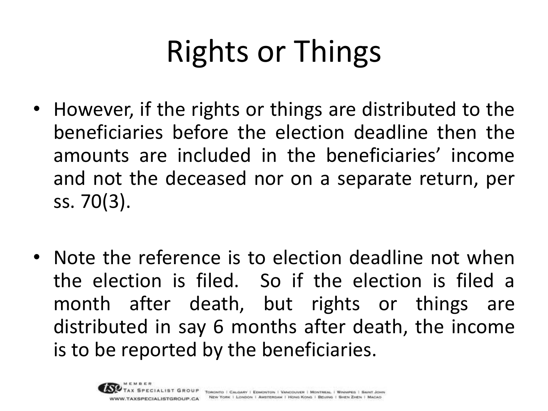# Rights or Things

- However, if the rights or things are distributed to the beneficiaries before the election deadline then the amounts are included in the beneficiaries' income and not the deceased nor on a separate return, per ss. 70(3).
- Note the reference is to election deadline not when the election is filed. So if the election is filed a month after death, but rights or things are distributed in say 6 months after death, the income is to be reported by the beneficiaries.

SPECIAL ISTGROUP CA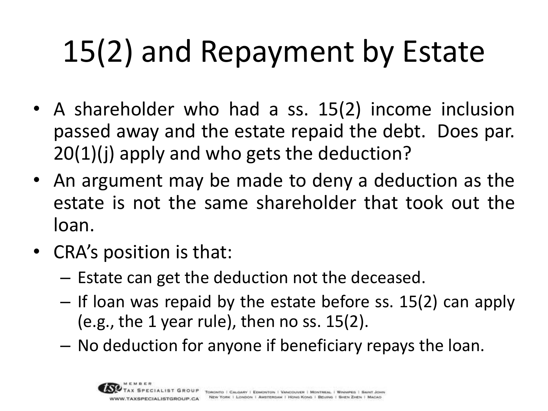# 15(2) and Repayment by Estate

- A shareholder who had a ss. 15(2) income inclusion passed away and the estate repaid the debt. Does par. 20(1)(j) apply and who gets the deduction?
- An argument may be made to deny a deduction as the estate is not the same shareholder that took out the loan.
- CRA's position is that:
	- Estate can get the deduction not the deceased.
	- If loan was repaid by the estate before ss. 15(2) can apply (e.g., the 1 year rule), then no ss. 15(2).
	- No deduction for anyone if beneficiary repays the loan.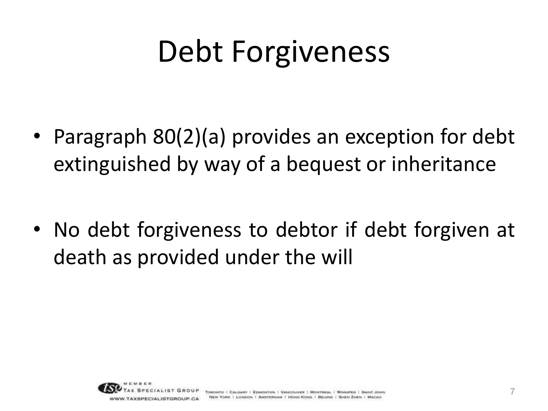## Debt Forgiveness

• Paragraph 80(2)(a) provides an exception for debt extinguished by way of a bequest or inheritance

• No debt forgiveness to debtor if debt forgiven at death as provided under the will

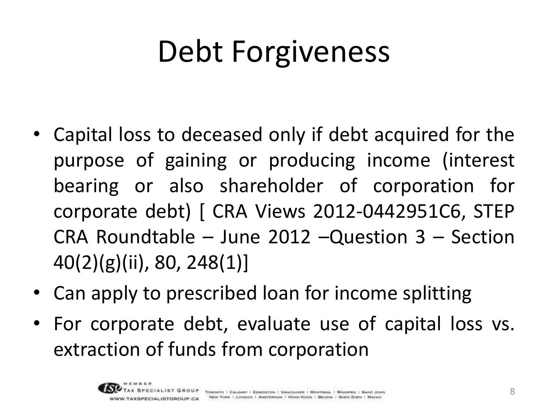# Debt Forgiveness

- Capital loss to deceased only if debt acquired for the purpose of gaining or producing income (interest bearing or also shareholder of corporation for corporate debt) [ CRA Views 2012-0442951C6, STEP CRA Roundtable – June 2012 –Question 3 – Section 40(2)(g)(ii), 80, 248(1)]
- Can apply to prescribed loan for income splitting
- For corporate debt, evaluate use of capital loss vs. extraction of funds from corporation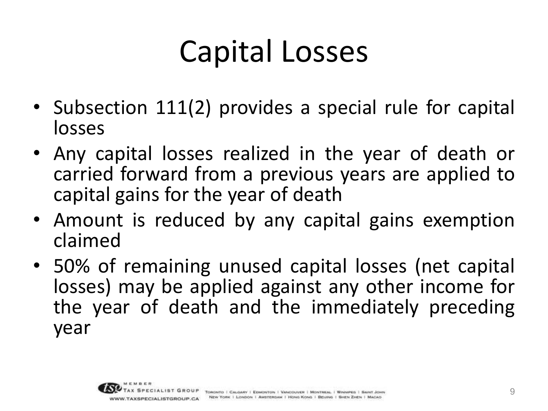## Capital Losses

- Subsection 111(2) provides a special rule for capital losses
- Any capital losses realized in the year of death or carried forward from a previous years are applied to capital gains for the year of death
- Amount is reduced by any capital gains exemption claimed
- 50% of remaining unused capital losses (net capital losses) may be applied against any other income for the year of death and the immediately preceding year

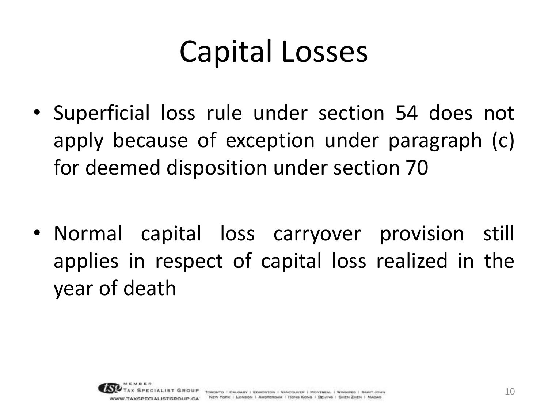#### Capital Losses

• Superficial loss rule under section 54 does not apply because of exception under paragraph (c) for deemed disposition under section 70

• Normal capital loss carryover provision still applies in respect of capital loss realized in the year of death

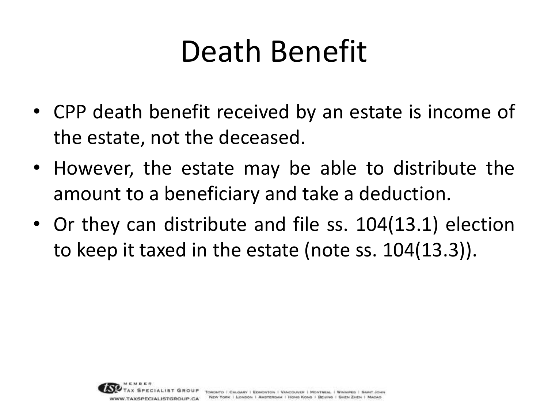- CPP death benefit received by an estate is income of the estate, not the deceased.
- However, the estate may be able to distribute the amount to a beneficiary and take a deduction.
- Or they can distribute and file ss. 104(13.1) election to keep it taxed in the estate (note ss. 104(13.3)).

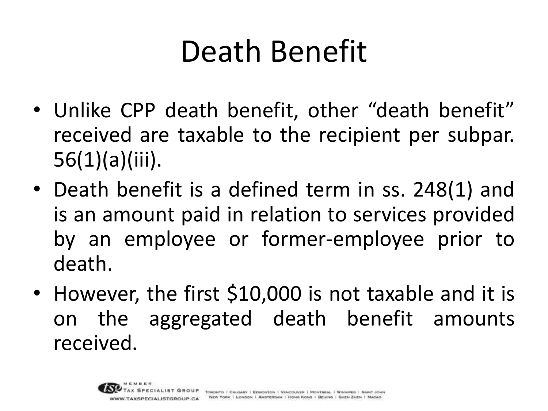- Unlike CPP death benefit, other "death benefit" received are taxable to the recipient per subpar. 56(1)(a)(iii).
- Death benefit is a defined term in ss. 248(1) and is an amount paid in relation to services provided by an employee or former-employee prior to death.
- However, the first \$10,000 is not taxable and it is on the aggregated death benefit amounts received.

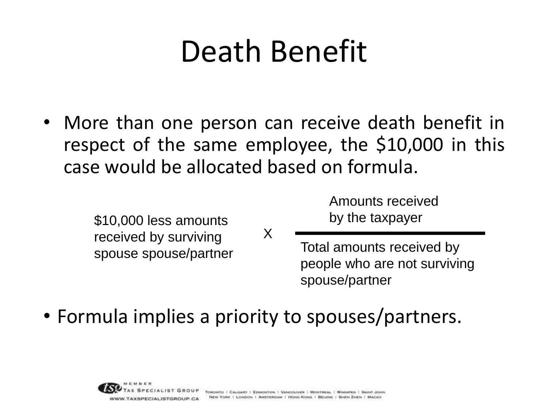More than one person can receive death benefit in respect of the same employee, the \$10,000 in this case would be allocated based on formula.

X

\$10,000 less amounts received by surviving spouse spouse/partner Amounts received by the taxpayer

Total amounts received by people who are not surviving spouse/partner

• Formula implies a priority to spouses/partners.

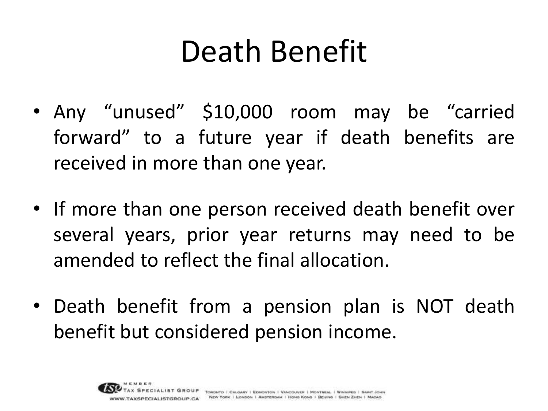- Any "unused" \$10,000 room may be "carried forward" to a future year if death benefits are received in more than one year.
- If more than one person received death benefit over several years, prior year returns may need to be amended to reflect the final allocation.
- Death benefit from a pension plan is NOT death benefit but considered pension income.

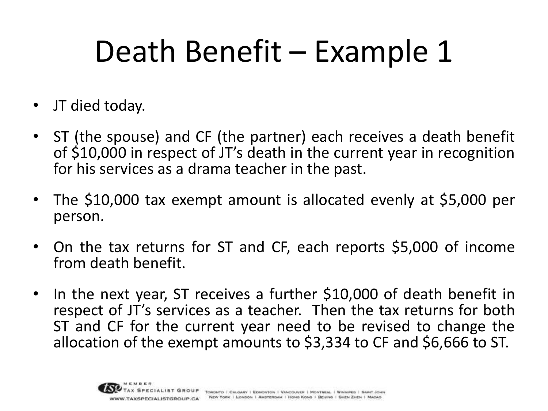## Death Benefit – Example 1

- JT died today.
- ST (the spouse) and CF (the partner) each receives a death benefit of \$10,000 in respect of JT's death in the current year in recognition for his services as a drama teacher in the past.
- The \$10,000 tax exempt amount is allocated evenly at \$5,000 per person.
- On the tax returns for ST and CF, each reports \$5,000 of income from death benefit.
- In the next year, ST receives a further \$10,000 of death benefit in respect of JT's services as a teacher. Then the tax returns for both ST and CF for the current year need to be revised to change the allocation of the exempt amounts to \$3,334 to CF and \$6,666 to ST.

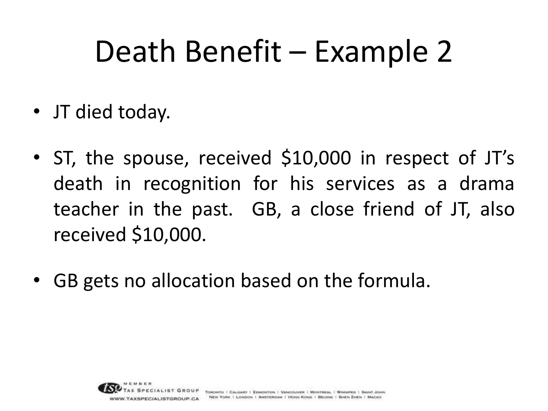#### Death Benefit – Example 2

- JT died today.
- ST, the spouse, received \$10,000 in respect of JT's death in recognition for his services as a drama teacher in the past. GB, a close friend of JT, also received \$10,000.
- GB gets no allocation based on the formula.

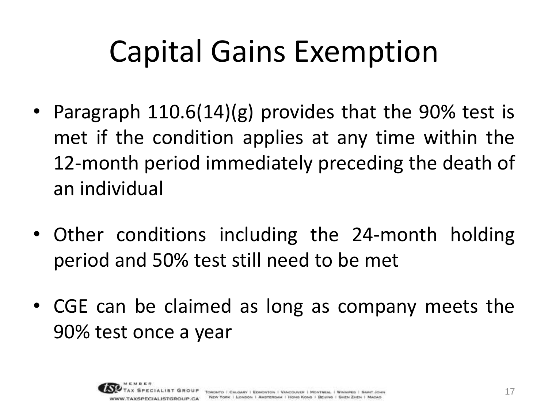## Capital Gains Exemption

- Paragraph 110.6(14)(g) provides that the 90% test is met if the condition applies at any time within the 12-month period immediately preceding the death of an individual
- Other conditions including the 24-month holding period and 50% test still need to be met
- CGE can be claimed as long as company meets the 90% test once a year

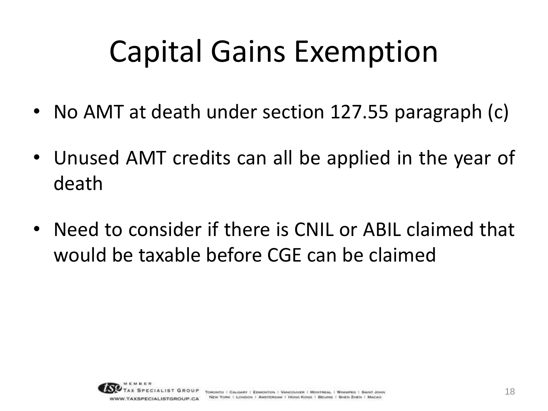## Capital Gains Exemption

- No AMT at death under section 127.55 paragraph (c)
- Unused AMT credits can all be applied in the year of death
- Need to consider if there is CNIL or ABIL claimed that would be taxable before CGE can be claimed

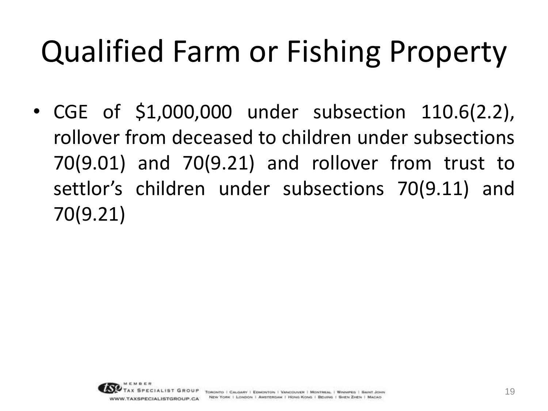# Qualified Farm or Fishing Property

• CGE of \$1,000,000 under subsection 110.6(2.2), rollover from deceased to children under subsections 70(9.01) and 70(9.21) and rollover from trust to settlor's children under subsections 70(9.11) and 70(9.21)

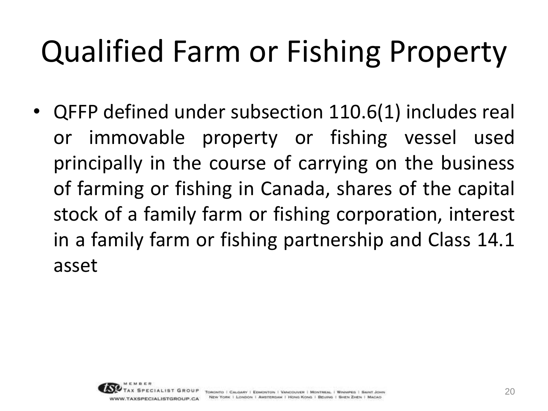## Qualified Farm or Fishing Property

• QFFP defined under subsection 110.6(1) includes real or immovable property or fishing vessel used principally in the course of carrying on the business of farming or fishing in Canada, shares of the capital stock of a family farm or fishing corporation, interest in a family farm or fishing partnership and Class 14.1 asset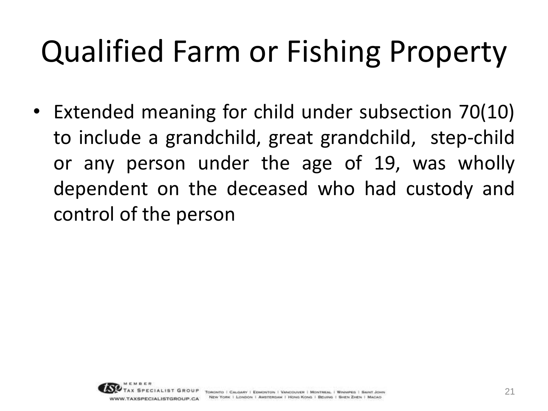# Qualified Farm or Fishing Property

• Extended meaning for child under subsection 70(10) to include a grandchild, great grandchild, step-child or any person under the age of 19, was wholly dependent on the deceased who had custody and control of the person

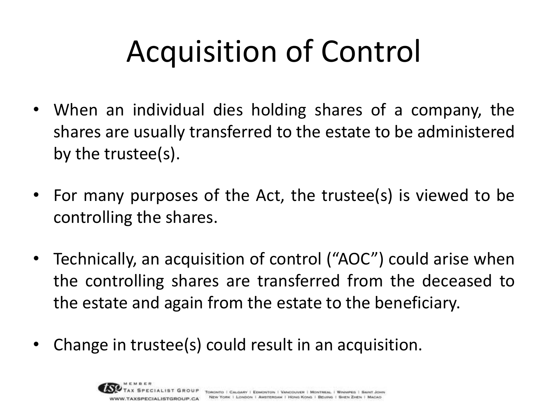# Acquisition of Control

- When an individual dies holding shares of a company, the shares are usually transferred to the estate to be administered by the trustee(s).
- For many purposes of the Act, the trustee(s) is viewed to be controlling the shares.
- Technically, an acquisition of control ("AOC") could arise when the controlling shares are transferred from the deceased to the estate and again from the estate to the beneficiary.
- Change in trustee(s) could result in an acquisition.

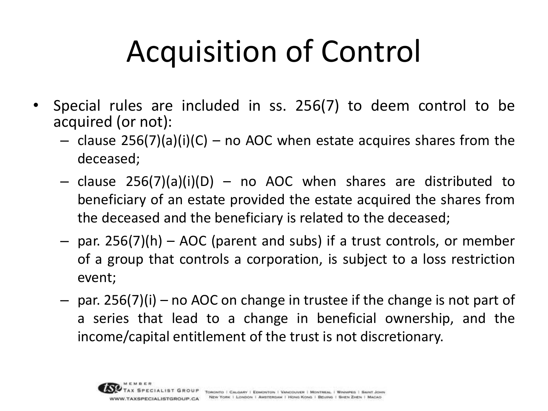# Acquisition of Control

- Special rules are included in ss. 256(7) to deem control to be acquired (or not):
	- $-$  clause 256(7)(a)(i)(C) no AOC when estate acquires shares from the deceased;
	- $-$  clause 256(7)(a)(i)(D)  $-$  no AOC when shares are distributed to beneficiary of an estate provided the estate acquired the shares from the deceased and the beneficiary is related to the deceased;
	- par. 256(7)(h) AOC (parent and subs) if a trust controls, or member of a group that controls a corporation, is subject to a loss restriction event;
	- par. 256(7)(i) no AOC on change in trustee if the change is not part of a series that lead to a change in beneficial ownership, and the income/capital entitlement of the trust is not discretionary.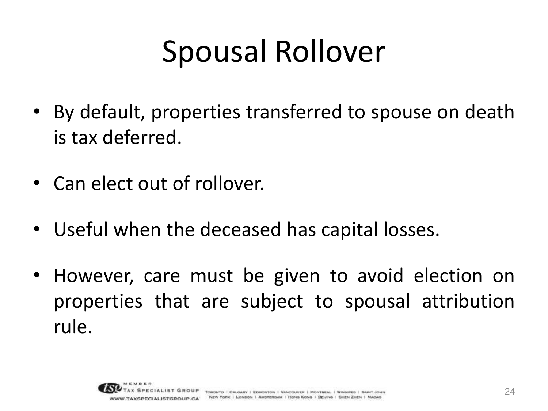## Spousal Rollover

- By default, properties transferred to spouse on death is tax deferred.
- Can elect out of rollover.
- Useful when the deceased has capital losses.
- However, care must be given to avoid election on properties that are subject to spousal attribution rule.

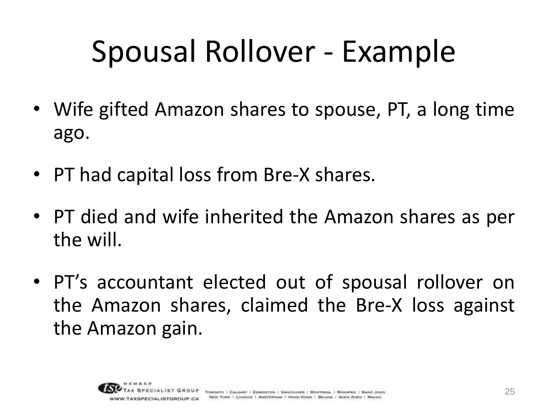## Spousal Rollover - Example

- Wife gifted Amazon shares to spouse, PT, a long time ago.
- PT had capital loss from Bre-X shares.
- PT died and wife inherited the Amazon shares as per the will.
- PT's accountant elected out of spousal rollover on the Amazon shares, claimed the Bre-X loss against the Amazon gain.

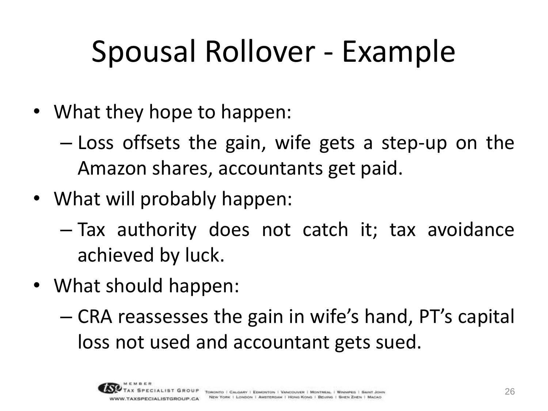# Spousal Rollover - Example

- What they hope to happen:
	- Loss offsets the gain, wife gets a step-up on the Amazon shares, accountants get paid.
- What will probably happen:
	- Tax authority does not catch it; tax avoidance achieved by luck.
- What should happen:
	- CRA reassesses the gain in wife's hand, PT's capital loss not used and accountant gets sued.

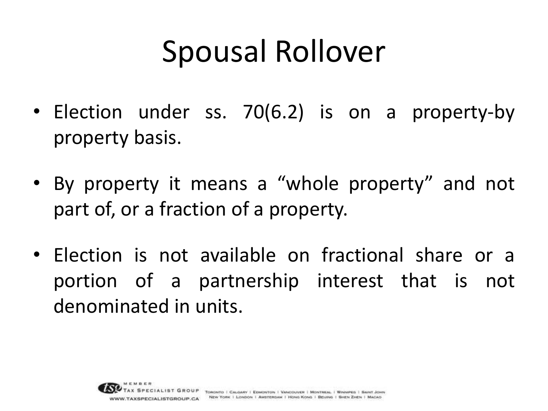#### Spousal Rollover

- Election under ss. 70(6.2) is on a property-by property basis.
- By property it means a "whole property" and not part of, or a fraction of a property.
- Election is not available on fractional share or a portion of a partnership interest that is not denominated in units.

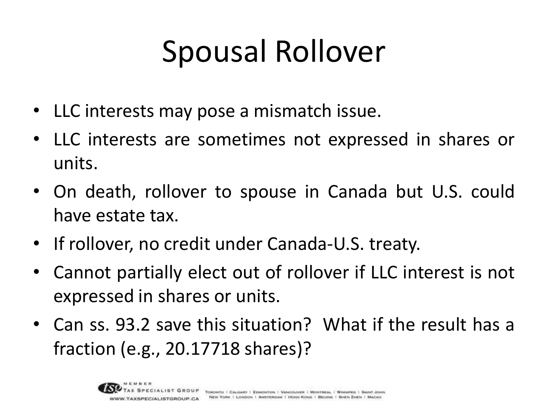## Spousal Rollover

- LLC interests may pose a mismatch issue.
- LLC interests are sometimes not expressed in shares or units.
- On death, rollover to spouse in Canada but U.S. could have estate tax.
- If rollover, no credit under Canada-U.S. treaty.
- Cannot partially elect out of rollover if LLC interest is not expressed in shares or units.
- Can ss. 93.2 save this situation? What if the result has a fraction (e.g., 20.17718 shares)?

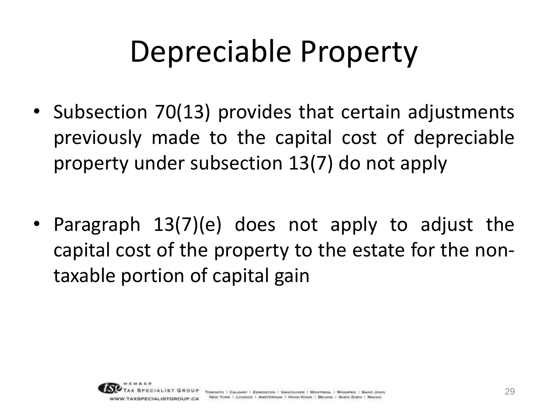- Subsection 70(13) provides that certain adjustments previously made to the capital cost of depreciable property under subsection 13(7) do not apply
- Paragraph 13(7)(e) does not apply to adjust the capital cost of the property to the estate for the nontaxable portion of capital gain

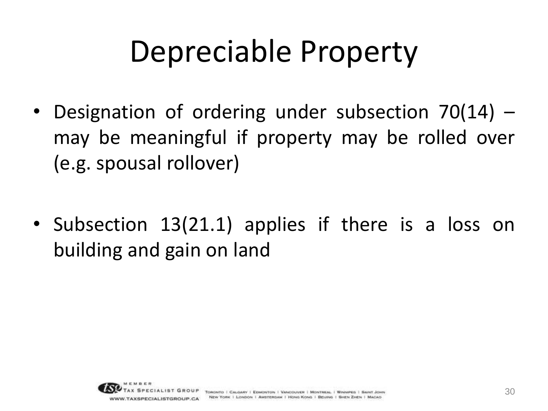- Designation of ordering under subsection 70(14) may be meaningful if property may be rolled over (e.g. spousal rollover)
- Subsection 13(21.1) applies if there is a loss on building and gain on land

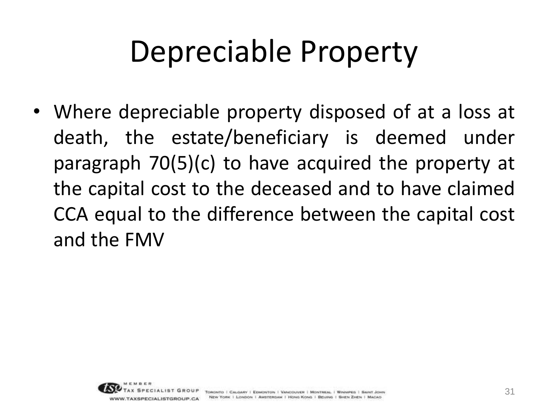• Where depreciable property disposed of at a loss at death, the estate/beneficiary is deemed under paragraph 70(5)(c) to have acquired the property at the capital cost to the deceased and to have claimed CCA equal to the difference between the capital cost and the FMV

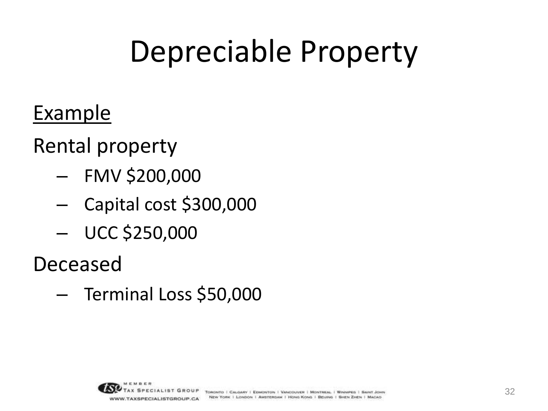#### Example

Rental property

- FMV \$200,000
- Capital cost \$300,000
- UCC \$250,000

Deceased

– Terminal Loss \$50,000

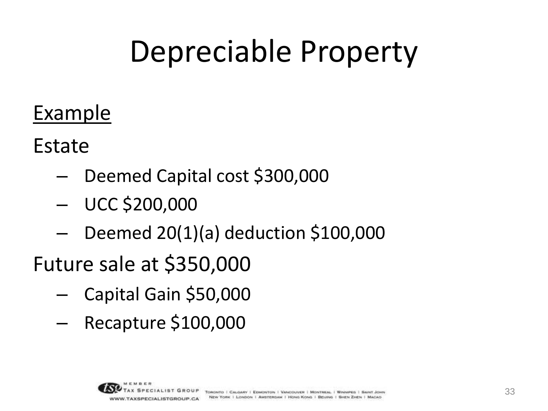#### Example

Estate

- Deemed Capital cost \$300,000
- UCC \$200,000
- Deemed 20(1)(a) deduction \$100,000
- Future sale at \$350,000
	- Capital Gain \$50,000
	- Recapture \$100,000

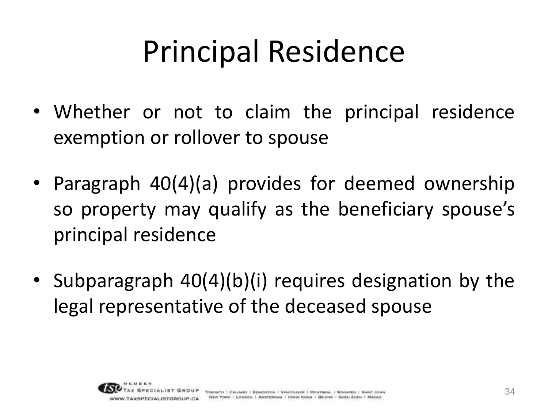## Principal Residence

- Whether or not to claim the principal residence exemption or rollover to spouse
- Paragraph 40(4)(a) provides for deemed ownership so property may qualify as the beneficiary spouse's principal residence
- Subparagraph 40(4)(b)(i) requires designation by the legal representative of the deceased spouse

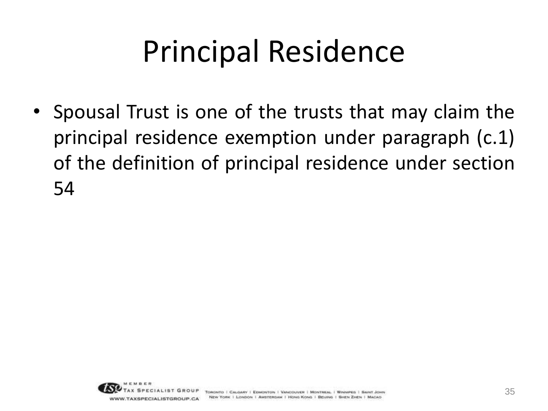## Principal Residence

• Spousal Trust is one of the trusts that may claim the principal residence exemption under paragraph (c.1) of the definition of principal residence under section 54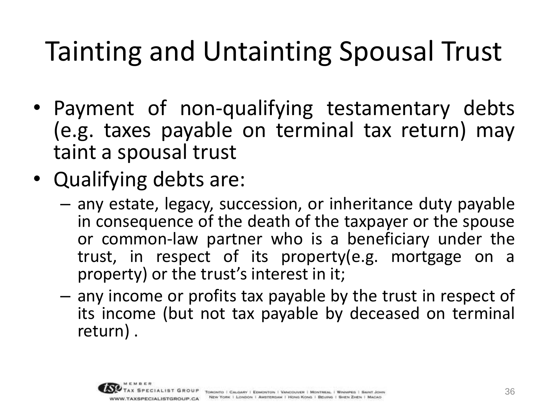- Payment of non-qualifying testamentary debts (e.g. taxes payable on terminal tax return) may taint a spousal trust
- Qualifying debts are:
	- any estate, legacy, succession, or inheritance duty payable in consequence of the death of the taxpayer or the spouse or common-law partner who is a beneficiary under the trust, in respect of its property(e.g. mortgage on a property) or the trust's interest in it;
	- any income or profits tax payable by the trust in respect of its income (but not tax payable by deceased on terminal return) .

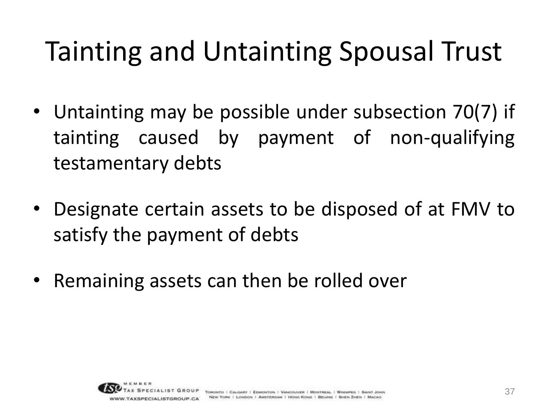- Untainting may be possible under subsection 70(7) if tainting caused by payment of non-qualifying testamentary debts
- Designate certain assets to be disposed of at FMV to satisfy the payment of debts
- Remaining assets can then be rolled over

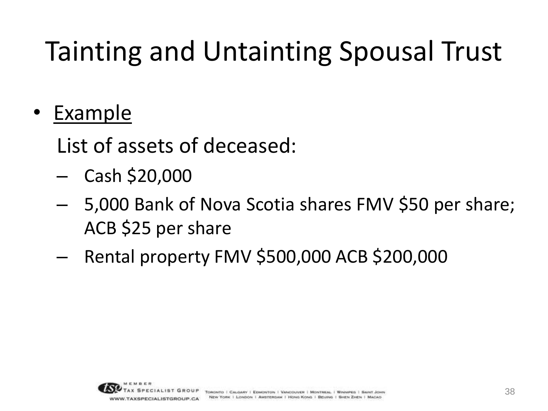• Example

List of assets of deceased:

- Cash \$20,000
- 5,000 Bank of Nova Scotia shares FMV \$50 per share; ACB \$25 per share
- Rental property FMV \$500,000 ACB \$200,000

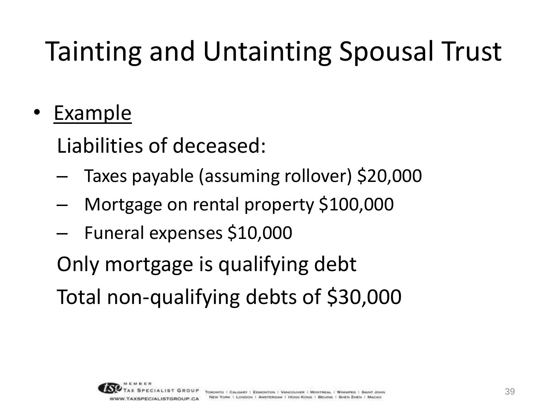• Example

Liabilities of deceased:

- Taxes payable (assuming rollover) \$20,000
- Mortgage on rental property \$100,000
- Funeral expenses \$10,000

Only mortgage is qualifying debt

Total non-qualifying debts of \$30,000

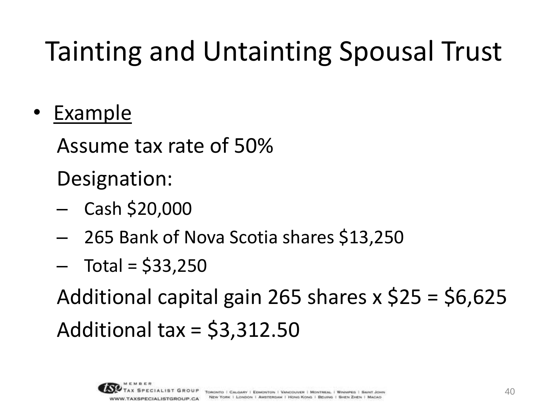• Example

Assume tax rate of 50%

Designation:

- Cash \$20,000
- 265 Bank of Nova Scotia shares \$13,250
- $-$  Total = \$33,250

Additional capital gain 265 shares x \$25 = \$6,625 Additional tax = \$3,312.50

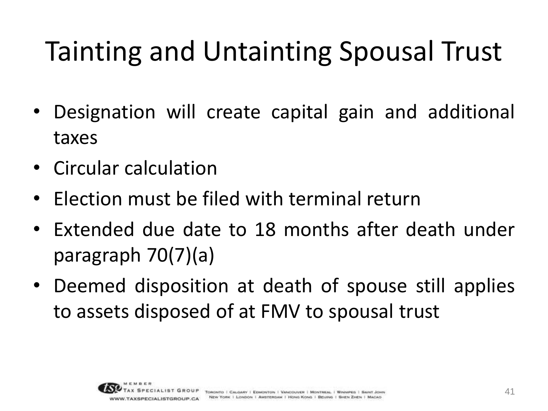- Designation will create capital gain and additional taxes
- Circular calculation
- Election must be filed with terminal return
- Extended due date to 18 months after death under paragraph 70(7)(a)
- Deemed disposition at death of spouse still applies to assets disposed of at FMV to spousal trust